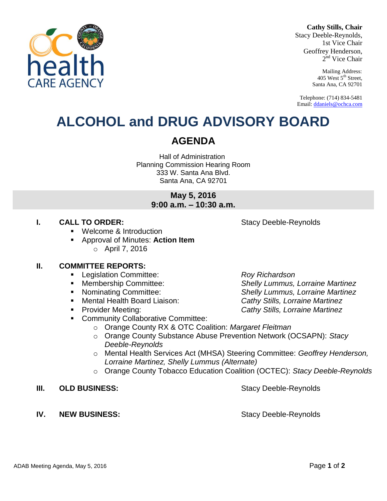#### **Cathy Stills, Chair**

Stacy Deeble-Reynolds, 1st Vice Chair Geoffrey Henderson, 2<sup>nd</sup> Vice Chair

> Mailing Address: 405 West 5<sup>th</sup> Street, Santa Ana, CA 92701

Telephone: (714) 834-5481 Email[: ddaniels@ochca.com](mailto:ddaniels@ochca.com)

# **ALCOHOL and DRUG ADVISORY BOARD**

## **AGENDA**

Hall of Administration Planning Commission Hearing Room 333 W. Santa Ana Blvd. Santa Ana, CA 92701

> **May 5, 2016 9:00 a.m. – 10:30 a.m.**

### **I. CALL TO ORDER:** Stacy Deeble-Reynolds

- Welcome & Introduction
- Approval of Minutes: **Action Item**  $\circ$  April 7, 2016

#### **II. COMMITTEE REPORTS:**

- Legislation Committee: *Roy Richardson*
- 
- 
- Mental Health Board Liaison: *Cathy Stills, Lorraine Martinez*
- 
- **EXECOMMUNITY Collaborative Committee:** 
	- o Orange County RX & OTC Coalition: *Margaret Fleitman*
	- o Orange County Substance Abuse Prevention Network (OCSAPN): *Stacy Deeble-Reynolds*
	- o Mental Health Services Act (MHSA) Steering Committee: *Geoffrey Henderson, Lorraine Martinez, Shelly Lummus (Alternate)*
	- o Orange County Tobacco Education Coalition (OCTEC): *Stacy Deeble-Reynolds*
- **III. OLD BUSINESS:** Stacy Deeble-Reynolds
- **IV. NEW BUSINESS:** Stacy Deeble-Reynolds

 Membership Committee: *Shelly Lummus, Lorraine Martinez* Nominating Committee: *Shelly Lummus, Lorraine Martinez* Provider Meeting: *Cathy Stills, Lorraine Martinez*